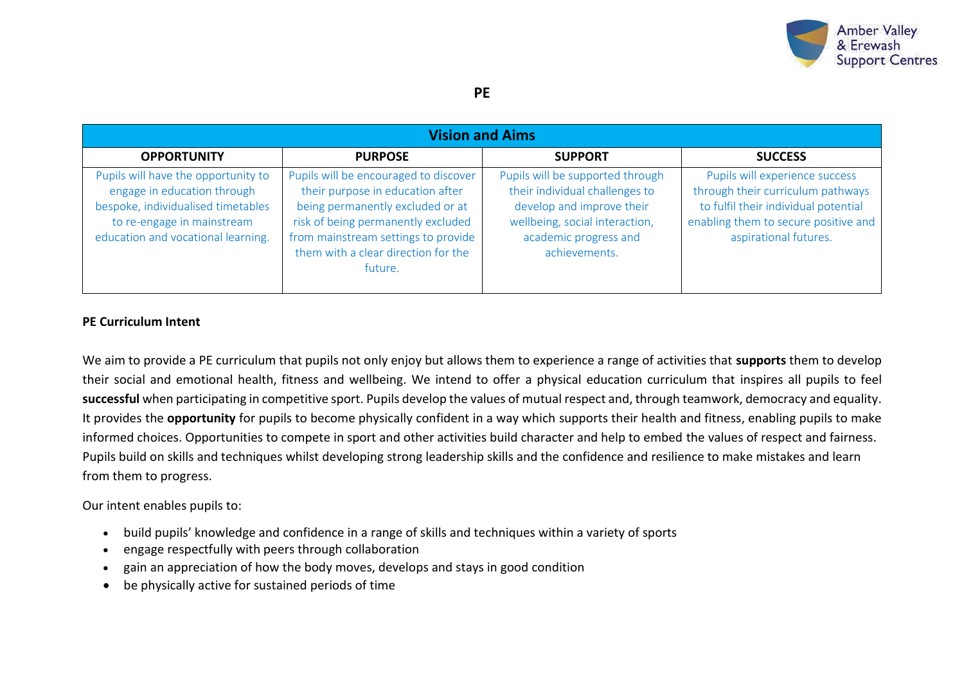

| <b>Vision and Aims</b>                                                                                                                                                       |                                                                                                                                                                                                                                              |                                                                                                                                                                             |                                                                                                                                                                              |  |  |
|------------------------------------------------------------------------------------------------------------------------------------------------------------------------------|----------------------------------------------------------------------------------------------------------------------------------------------------------------------------------------------------------------------------------------------|-----------------------------------------------------------------------------------------------------------------------------------------------------------------------------|------------------------------------------------------------------------------------------------------------------------------------------------------------------------------|--|--|
| <b>OPPORTUNITY</b>                                                                                                                                                           | <b>PURPOSE</b>                                                                                                                                                                                                                               | <b>SUPPORT</b>                                                                                                                                                              | <b>SUCCESS</b>                                                                                                                                                               |  |  |
| Pupils will have the opportunity to<br>engage in education through<br>bespoke, individualised timetables<br>to re-engage in mainstream<br>education and vocational learning. | Pupils will be encouraged to discover<br>their purpose in education after<br>being permanently excluded or at<br>risk of being permanently excluded<br>from mainstream settings to provide<br>them with a clear direction for the<br>future. | Pupils will be supported through<br>their individual challenges to<br>develop and improve their<br>wellbeing, social interaction,<br>academic progress and<br>achievements. | Pupils will experience success<br>through their curriculum pathways<br>to fulfil their individual potential<br>enabling them to secure positive and<br>aspirational futures. |  |  |

# **PE Curriculum Intent**

We aim to provide a PE curriculum that pupils not only enjoy but allows them to experience a range of activities that **supports** them to develop their social and emotional health, fitness and wellbeing. We intend to offer a physical education curriculum that inspires all pupils to feel **successful** when participating in competitive sport. Pupils develop the values of mutual respect and, through teamwork, democracy and equality. It provides the **opportunity** for pupils to become physically confident in a way which supports their health and fitness, enabling pupils to make informed choices. Opportunities to compete in sport and other activities build character and help to embed the values of respect and fairness. Pupils build on skills and techniques whilst developing strong leadership skills and the confidence and resilience to make mistakes and learn from them to progress.

# Our intent enables pupils to:

- build pupils' knowledge and confidence in a range of skills and techniques within a variety of sports
- engage respectfully with peers through collaboration
- gain an appreciation of how the body moves, develops and stays in good condition
- be physically active for sustained periods of time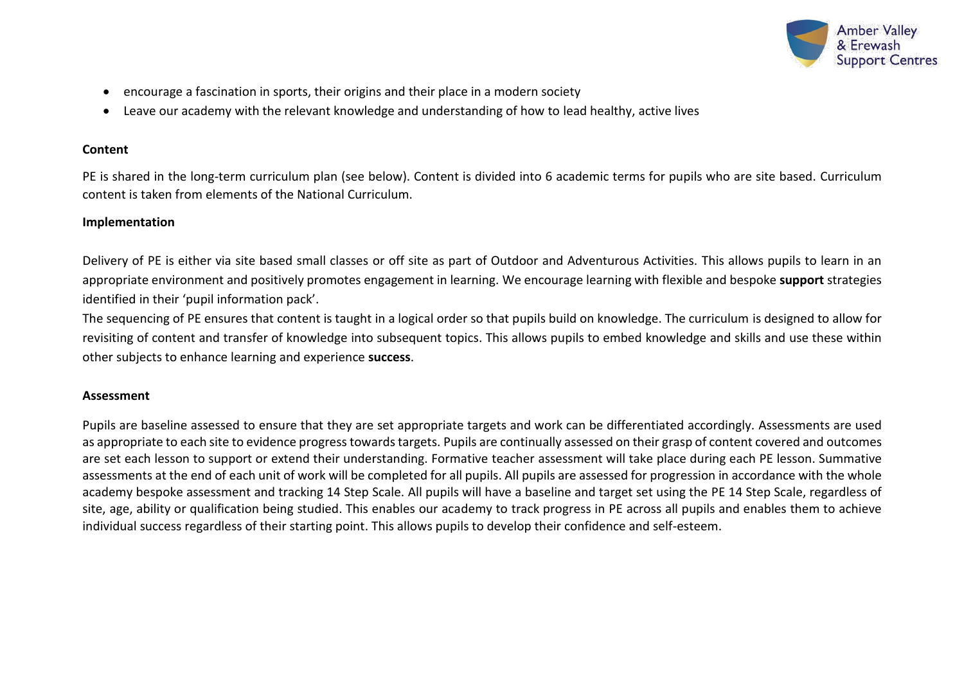

- encourage a fascination in sports, their origins and their place in a modern society
- Leave our academy with the relevant knowledge and understanding of how to lead healthy, active lives

## **Content**

PE is shared in the long-term curriculum plan (see below). Content is divided into 6 academic terms for pupils who are site based. Curriculum content is taken from elements of the National Curriculum.

### **Implementation**

Delivery of PE is either via site based small classes or off site as part of Outdoor and Adventurous Activities. This allows pupils to learn in an appropriate environment and positively promotes engagement in learning. We encourage learning with flexible and bespoke **support** strategies identified in their 'pupil information pack'.

The sequencing of PE ensures that content is taught in a logical order so that pupils build on knowledge. The curriculum is designed to allow for revisiting of content and transfer of knowledge into subsequent topics. This allows pupils to embed knowledge and skills and use these within other subjects to enhance learning and experience **success**.

#### **Assessment**

Pupils are baseline assessed to ensure that they are set appropriate targets and work can be differentiated accordingly. Assessments are used as appropriate to each site to evidence progress towards targets. Pupils are continually assessed on their grasp of content covered and outcomes are set each lesson to support or extend their understanding. Formative teacher assessment will take place during each PE lesson. Summative assessments at the end of each unit of work will be completed for all pupils. All pupils are assessed for progression in accordance with the whole academy bespoke assessment and tracking 14 Step Scale. All pupils will have a baseline and target set using the PE 14 Step Scale, regardless of site, age, ability or qualification being studied. This enables our academy to track progress in PE across all pupils and enables them to achieve individual success regardless of their starting point. This allows pupils to develop their confidence and self-esteem.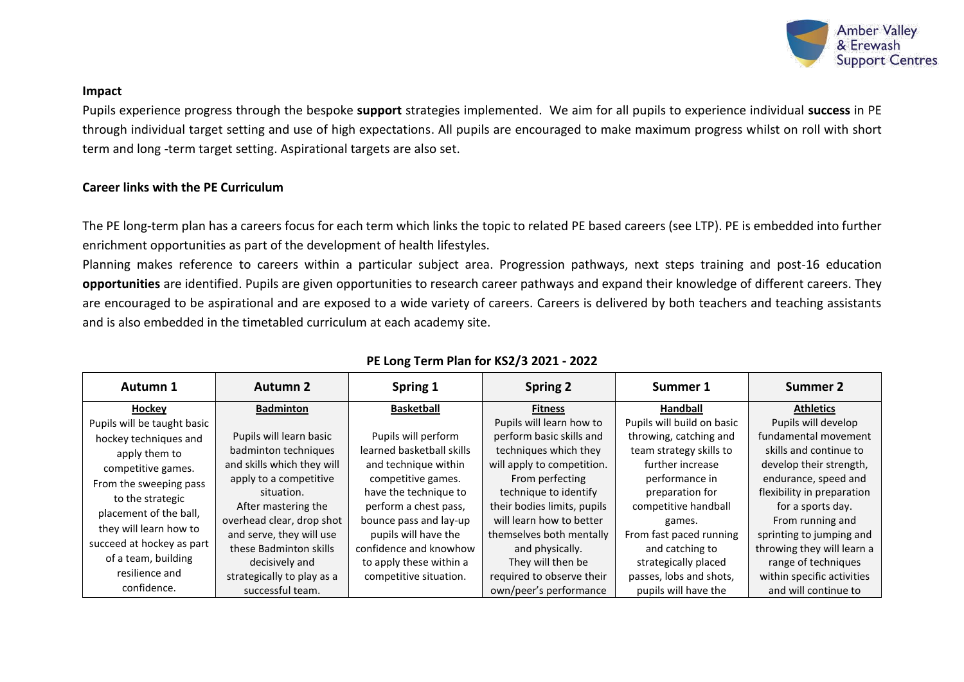

#### **Impact**

Pupils experience progress through the bespoke **support** strategies implemented. We aim for all pupils to experience individual **success** in PE through individual target setting and use of high expectations. All pupils are encouraged to make maximum progress whilst on roll with short term and long -term target setting. Aspirational targets are also set.

# **Career links with the PE Curriculum**

The PE long-term plan has a careers focus for each term which links the topic to related PE based careers (see LTP). PE is embedded into further enrichment opportunities as part of the development of health lifestyles.

Planning makes reference to careers within a particular subject area. Progression pathways, next steps training and post-16 education **opportunities** are identified. Pupils are given opportunities to research career pathways and expand their knowledge of different careers. They are encouraged to be aspirational and are exposed to a wide variety of careers. Careers is delivered by both teachers and teaching assistants and is also embedded in the timetabled curriculum at each academy site.

| Autumn 1                    | <b>Autumn 2</b>            | Spring 1                  | <b>Spring 2</b>             | Summer 1                   | Summer 2                   |
|-----------------------------|----------------------------|---------------------------|-----------------------------|----------------------------|----------------------------|
| Hockey                      | <b>Badminton</b>           | <b>Basketball</b>         | <b>Fitness</b>              | Handball                   | <b>Athletics</b>           |
| Pupils will be taught basic |                            |                           | Pupils will learn how to    | Pupils will build on basic | Pupils will develop        |
| hockey techniques and       | Pupils will learn basic    | Pupils will perform       | perform basic skills and    | throwing, catching and     | fundamental movement       |
| apply them to               | badminton techniques       | learned basketball skills | techniques which they       | team strategy skills to    | skills and continue to     |
| competitive games.          | and skills which they will | and technique within      | will apply to competition.  | further increase           | develop their strength,    |
| From the sweeping pass      | apply to a competitive     | competitive games.        | From perfecting             | performance in             | endurance, speed and       |
| to the strategic            | situation.                 | have the technique to     | technique to identify       | preparation for            | flexibility in preparation |
| placement of the ball,      | After mastering the        | perform a chest pass,     | their bodies limits, pupils | competitive handball       | for a sports day.          |
| they will learn how to      | overhead clear, drop shot  | bounce pass and lay-up    | will learn how to better    | games.                     | From running and           |
|                             | and serve, they will use   | pupils will have the      | themselves both mentally    | From fast paced running    | sprinting to jumping and   |
| succeed at hockey as part   | these Badminton skills     | confidence and knowhow    | and physically.             | and catching to            | throwing they will learn a |
| of a team, building         | decisively and             | to apply these within a   | They will then be           | strategically placed       | range of techniques        |
| resilience and              | strategically to play as a | competitive situation.    | required to observe their   | passes, lobs and shots,    | within specific activities |
| confidence.                 | successful team.           |                           | own/peer's performance      | pupils will have the       | and will continue to       |

# **PE Long Term Plan for KS2/3 2021 - 2022**